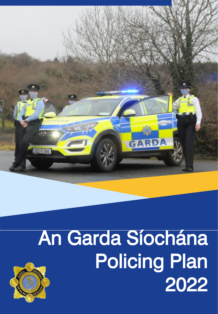

# An Garda Síochána Policing Plan 2022

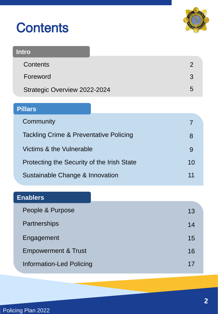| <b>Contents</b> |  |
|-----------------|--|
|                 |  |



| <b>Intro</b>                 |  |
|------------------------------|--|
| <b>Contents</b>              |  |
| Foreword                     |  |
| Strategic Overview 2022-2024 |  |

## **Pillars**

| Community                                  |    |
|--------------------------------------------|----|
| Tackling Crime & Preventative Policing     | 8  |
| Victims & the Vulnerable                   | 9  |
| Protecting the Security of the Irish State | 10 |
| Sustainable Change & Innovation            | 11 |

### **Enablers**

| People & Purpose                | 13 |
|---------------------------------|----|
| Partnerships                    | 14 |
| Engagement                      | 15 |
| <b>Empowerment &amp; Trust</b>  | 16 |
| <b>Information-Led Policing</b> | 17 |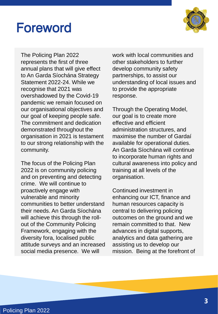## Foreword



The Policing Plan 2022 represents the first of three annual plans that will give effect to An Garda Síochána Strategy Statement 2022-24. While we recognise that 2021 was overshadowed by the Covid-19 pandemic we remain focused on our organisational objectives and our goal of keeping people safe. The commitment and dedication demonstrated throughout the organisation in 2021 is testament to our strong relationship with the community.

The focus of the Policing Plan 2022 is on community policing and on preventing and detecting crime. We will continue to proactively engage with vulnerable and minority communities to better understand their needs. An Garda Síochána will achieve this through the rollout of the Community Policing Framework, engaging with the diversity fora, localised public attitude surveys and an increased social media presence. We will

work with local communities and other stakeholders to further develop community safety partnerships, to assist our understanding of local issues and to provide the appropriate response.

Through the Operating Model, our goal is to create more effective and efficient administration structures, and maximise the number of Gardaí available for operational duties. An Garda Síochána will continue to incorporate human rights and cultural awareness into policy and training at all levels of the organisation.

Continued investment in enhancing our ICT, finance and human resources capacity is central to delivering policing outcomes on the ground and we remain committed to that. New advances in digital supports, analytics and data gathering are assisting us to develop our mission. Being at the forefront of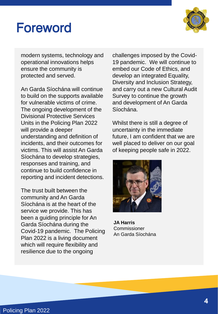## Foreword



modern systems, technology and operational innovations helps ensure the community is protected and served.

An Garda Síochána will continue to build on the supports available for vulnerable victims of crime. The ongoing development of the Divisional Protective Services Units in the Policing Plan 2022 will provide a deeper understanding and definition of incidents, and their outcomes for victims. This will assist An Garda Síochána to develop strategies, responses and training, and continue to build confidence in reporting and incident detections.

The trust built between the community and An Garda Síochána is at the heart of the service we provide. This has been a guiding principle for An Garda Síochána during the Covid-19 pandemic. The Policing Plan 2022 is a living document which will require flexibility and resilience due to the ongoing

challenges imposed by the Covid-19 pandemic. We will continue to embed our Code of Ethics, and develop an integrated Equality, Diversity and Inclusion Strategy, and carry out a new Cultural Audit Survey to continue the growth and development of An Garda Síochána.

Whilst there is still a degree of uncertainty in the immediate future, I am confident that we are well placed to deliver on our goal of keeping people safe in 2022.



**JA Harris** Commissioner An Garda Síochána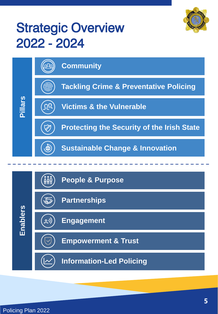

## **Strategic Overview** 2022 - 2024



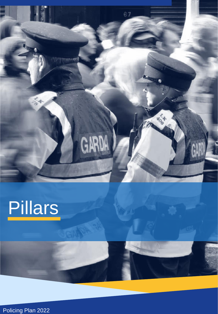



Policing Plan 2022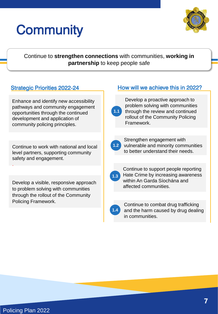## **Community**



Continue to **strengthen connections** with communities, **working in partnership** to keep people safe

Enhance and identify new accessibility pathways and community engagement opportunities through the continued development and application of community policing principles.

Continue to work with national and local level partners, supporting community safety and engagement.

Develop a visible, responsive approach to problem solving with communities through the rollout of the Community Policing Framework.

### Strategic Priorities 2022-24 How will we achieve this in 2022?



Develop a proactive approach to problem solving with communities through the review and continued rollout of the Community Policing Framework.



Strengthen engagement with vulnerable and minority communities to better understand their needs.

| ť |  |
|---|--|
|   |  |
|   |  |

Continue to support people reporting Hate Crime by increasing awareness within An Garda Síochána and affected communities.



Continue to combat drug trafficking and the harm caused by drug dealing in communities.

.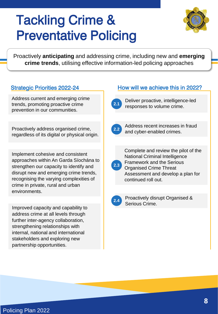## Tackling Crime & Preventative Policing



Proactively **anticipating** and addressing crime, including new and **emerging crime trends**, utilising effective information-led policing approaches

Address current and emerging crime trends, promoting proactive crime prevention in our communities.

Proactively address organised crime, regardless of its digital or physical origin.

Implement cohesive and consistent approaches within An Garda Síochána to strengthen our capacity to identify and disrupt new and emerging crime trends, recognising the varying complexities of crime in private, rural and urban environments.

Improved capacity and capability to address crime at all levels through further inter-agency collaboration, strengthening relationships with internal, national and international stakeholders and exploring new partnership opportunities.

### Strategic Priorities 2022-24 How will we achieve this in 2022?



Deliver proactive, intelligence-led responses to volume crime. **2.1**



Address recent increases in fraud and cyber-enabled crimes.



Complete and review the pilot of the National Criminal Intelligence Framework and the Serious Organised Crime Threat Assessment and develop a plan for



Proactively disrupt Organised & Serious Crime.

continued roll out.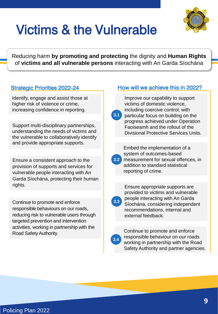

# Victims & the Vulnerable

Reducing harm **by promoting and protecting** the dignity and **Human Rights**  of **victims and all vulnerable persons** interacting with An Garda Síochána

### Strategic Priorities 2022-24

Identify, engage and assist those at higher risk of violence or crime, increasing confidence in reporting.

Support multi-disciplinary partnerships, understanding the needs of victims and the vulnerable to collaboratively identify and provide appropriate supports.

Ensure a consistent approach to the provision of supports and services for vulnerable people interacting with An Garda Síochána, protecting their human rights.

Continue to promote and enforce responsible behaviours on our roads, reducing risk to vulnerable users through targeted prevention and intervention activities, working in partnership with the Road Safety Authority.

### How will we achieve this in 2022?

Improve our capability to support victims of domestic violence, including coercive control, with particular focus on building on the progress achieved under Operation Faoiseamh and the rollout of the Divisional Protective Services Units. **3.1** Embed the implementation of a system of outcomes-based measurement for sexual offences, in addition to standard statistical reporting of crime. **3.2** Ensure appropriate supports are provided to victims and vulnerable people interacting with An Garda Síochána, considering independent recommendations, internal and external feedback. **3.3**

**3.4**

Continue to promote and enforce responsible behaviour on our roads working in partnership with the Road Safety Authority and partner agencies.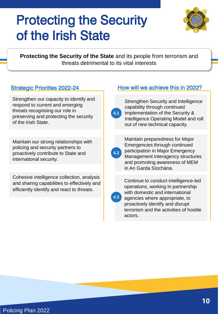## Protecting the Security of the Irish State



**Protecting the Security of the State** and its people from terrorism and threats detrimental to its vital interests

### Strategic Priorities 2022-24

Strengthen our capacity to identify and respond to current and emerging threats recognising our role in preserving and protecting the security of the Irish State.

Maintain our strong relationships with policing and security partners to proactively contribute to State and international security.

Cohesive intelligence collection, analysis and sharing capabilities to effectively and efficiently identify and react to threats.

### How will we achieve this in 2022?



Strengthen Security and Intelligence capability through continued implementation of the Security & Intelligence Operating Model and roll out of new technical capacity.

| 4.7 |  |
|-----|--|

**4.3**

Maintain preparedness for Major Emergencies through continued participation in Major Emergency Management interagency structures and promoting awareness of MEM in An Garda Síochána.

Continue to conduct intelligence-led operations, working in partnership with domestic and international agencies where appropriate, to proactively identify and disrupt terrorism and the activities of hostile actors.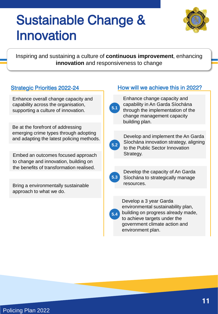## Sustainable Change & Innovation



Inspiring and sustaining a culture of **continuous improvement**, enhancing **innovation** and responsiveness to change

### Strategic Priorities 2022-24

Enhance overall change capacity and capability across the organisation, supporting a culture of innovation.

Be at the forefront of addressing emerging crime types through adopting and adapting the latest policing methods.

Embed an outcomes focused approach to change and innovation, building on the benefits of transformation realised.

Bring a environmentally sustainable approach to what we do.

### How will we achieve this in 2022?

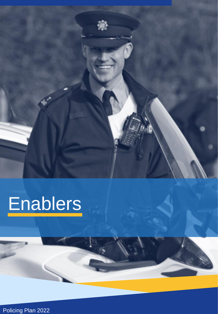

# **Enablers**

Policing Plan 2022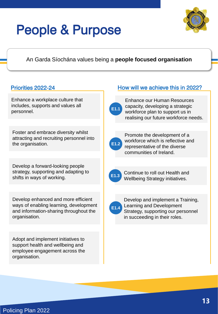## People & Purpose



### An Garda Síochána values being a **people focused organisation**

Enhance a workplace culture that includes, supports and values all personnel.

Foster and embrace diversity whilst attracting and recruiting personnel into the organisation.

Develop a forward-looking people strategy, supporting and adapting to shifts in ways of working.

Develop enhanced and more efficient ways of enabling learning, development and information-sharing throughout the organisation.

Adopt and implement initiatives to support health and wellbeing and employee engagement across the organisation.

### Priorities 2022-24 How will we achieve this in 2022?



Enhance our Human Resources capacity, developing a strategic workforce plan to support us in realising our future workforce needs.



Promote the development of a workforce which is reflective and representative of the diverse communities of Ireland.



Continue to roll out Health and **E1.3** Commue to roll out Health and<br>**E1.3** Wellbeing Strategy initiatives.



Develop and implement a Training, Learning and Development Strategy, supporting our personnel in succeeding in their roles.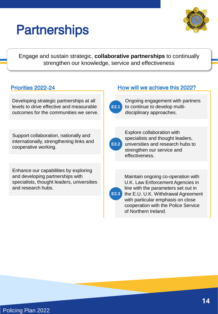## **Partnerships**



Engage and sustain strategic, **collaborative partnerships** to continually strengthen our knowledge, service and effectiveness

### Priorities 2022-24

Developing strategic partnerships at all levels to drive effective and measurable outcomes for the communities we serve.

Support collaboration, nationally and internationally, strengthening links and cooperative working.

Enhance our capabilities by exploring and developing partnerships with specialists, thought leaders, universities and research hubs.

### How will we achieve this 2022?



Ongoing engagement with partners to continue to develop multidisciplinary approaches.

| 2.2 |  |
|-----|--|
|     |  |

Explore collaboration with specialists and thought leaders, universities and research hubs to strengthen our service and effectiveness.

**E2.3**

Maintain ongoing co-operation with U.K. Law Enforcement Agencies in line with the parameters set out in the E.U. U.K. Withdrawal Agreement with particular emphasis on close cooperation with the Police Service of Northern Ireland.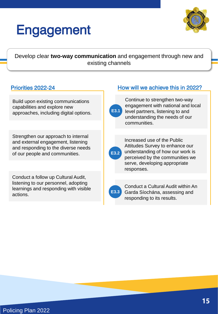## Engagement



Develop clear **two-way communication** and engagement through new and existing channels

### Priorities 2022-24

Build upon existing communications capabilities and explore new approaches, including digital options.

Strengthen our approach to internal and external engagement, listening and responding to the diverse needs of our people and communities.

Conduct a follow up Cultural Audit, listening to our personnel, adopting learnings and responding with visible actions.

### How will we achieve this in 2022?



Continue to strengthen two-way engagement with national and local level partners, listening to and understanding the needs of our communities.



Increased use of the Public Attitudes Survey to enhance our understanding of how our work is perceived by the communities we serve, developing appropriate responses.

| ٠ |
|---|
|   |

Conduct a Cultural Audit within An Garda Síochána, assessing and responding to its results.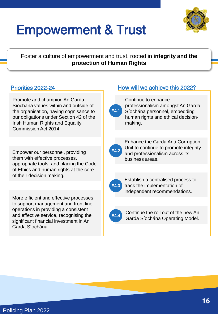

## Empowerment & Trust

Foster a culture of empowerment and trust, rooted in **integrity and the protection of Human Rights**

### Priorities 2022-24

Promote and champion An Garda Síochána values within and outside of the organisation, having cognisance to our obligations under Section 42 of the Irish Human Rights and Equality Commission Act 2014.

Empower our personnel, providing them with effective processes, appropriate tools, and placing the Code of Ethics and human rights at the core of their decision making.

More efficient and effective processes to support management and front line operations in providing a consistent and effective service, recognising the significant financial investment in An Garda Síochána.

### How will we achieve this 2022?



Continue to enhance professionalism amongst An Garda Síochána personnel, embedding human rights and ethical decisionmaking.



Enhance the Garda Anti-Corruption Unit to continue to promote integrity and professionalism across its business areas.



Establish a centralised process to track the implementation of independent recommendations.



Continue the roll out of the new An Garda Síochána Operating Model.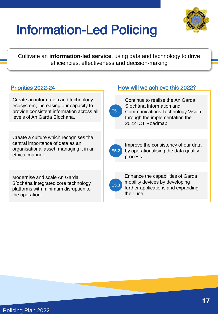

## Information-Led Policing

Cultivate an **information-led service**, using data and technology to drive efficiencies, effectiveness and decision-making

### Priorities 2022-24

Create an information and technology ecosystem, increasing our capacity to provide consistent information across all levels of An Garda Síochána.

Create a culture which recognises the central importance of data as an organisational asset, managing it in an ethical manner.

Modernise and scale An Garda Síochána integrated core technology platforms with minimum disruption to the operation.

### How will we achieve this 2022?



Continue to realise the An Garda Síochána Information and

Communications Technology Vision through the implementation the 2022 ICT Roadmap.



Improve the consistency of our data by operationalising the data quality process.

| E5.3 |  |
|------|--|
|      |  |

Enhance the capabilities of Garda mobility devices by developing further applications and expanding their use.